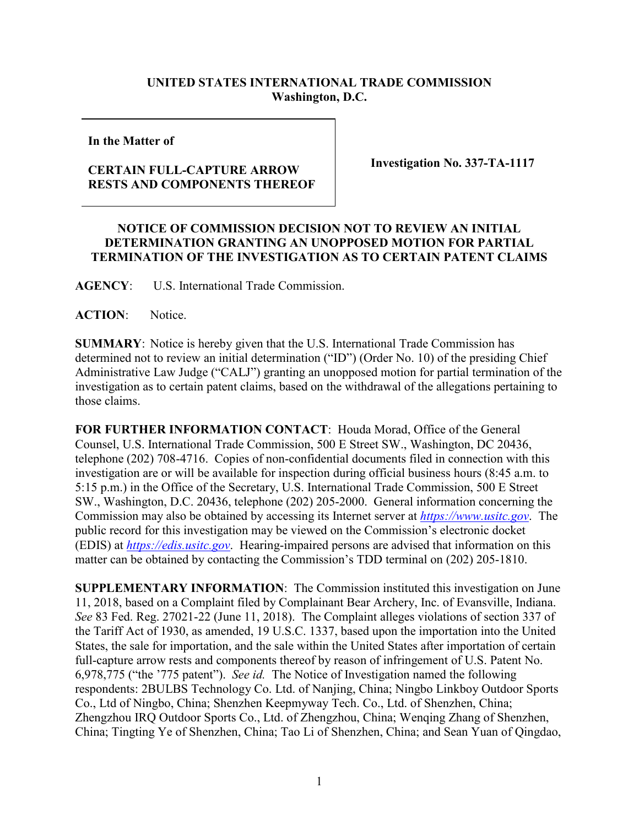## **UNITED STATES INTERNATIONAL TRADE COMMISSION Washington, D.C.**

**In the Matter of**

## **CERTAIN FULL-CAPTURE ARROW RESTS AND COMPONENTS THEREOF**

**Investigation No. 337-TA-1117**

## **NOTICE OF COMMISSION DECISION NOT TO REVIEW AN INITIAL DETERMINATION GRANTING AN UNOPPOSED MOTION FOR PARTIAL TERMINATION OF THE INVESTIGATION AS TO CERTAIN PATENT CLAIMS**

**AGENCY**: U.S. International Trade Commission.

ACTION: Notice.

**SUMMARY**: Notice is hereby given that the U.S. International Trade Commission has determined not to review an initial determination ("ID") (Order No. 10) of the presiding Chief Administrative Law Judge ("CALJ") granting an unopposed motion for partial termination of the investigation as to certain patent claims, based on the withdrawal of the allegations pertaining to those claims.

**FOR FURTHER INFORMATION CONTACT**: Houda Morad, Office of the General Counsel, U.S. International Trade Commission, 500 E Street SW., Washington, DC 20436, telephone (202) 708-4716. Copies of non-confidential documents filed in connection with this investigation are or will be available for inspection during official business hours (8:45 a.m. to 5:15 p.m.) in the Office of the Secretary, U.S. International Trade Commission, 500 E Street SW., Washington, D.C. 20436, telephone (202) 205-2000. General information concerning the Commission may also be obtained by accessing its Internet server at *[https://www.usitc.gov](https://www.usitc.gov/)*. The public record for this investigation may be viewed on the Commission's electronic docket (EDIS) at *[https://edis.usitc.gov](http://edis.usitc.gov/)*. Hearing-impaired persons are advised that information on this matter can be obtained by contacting the Commission's TDD terminal on (202) 205-1810.

**SUPPLEMENTARY INFORMATION**: The Commission instituted this investigation on June 11, 2018, based on a Complaint filed by Complainant Bear Archery, Inc. of Evansville, Indiana. *See* 83 Fed. Reg. 27021-22 (June 11, 2018). The Complaint alleges violations of section 337 of the Tariff Act of 1930, as amended, 19 U.S.C. 1337, based upon the importation into the United States, the sale for importation, and the sale within the United States after importation of certain full-capture arrow rests and components thereof by reason of infringement of U.S. Patent No. 6,978,775 ("the '775 patent"). *See id.* The Notice of Investigation named the following respondents: 2BULBS Technology Co. Ltd. of Nanjing, China; Ningbo Linkboy Outdoor Sports Co., Ltd of Ningbo, China; Shenzhen Keepmyway Tech. Co., Ltd. of Shenzhen, China; Zhengzhou IRQ Outdoor Sports Co., Ltd. of Zhengzhou, China; Wenqing Zhang of Shenzhen, China; Tingting Ye of Shenzhen, China; Tao Li of Shenzhen, China; and Sean Yuan of Qingdao,